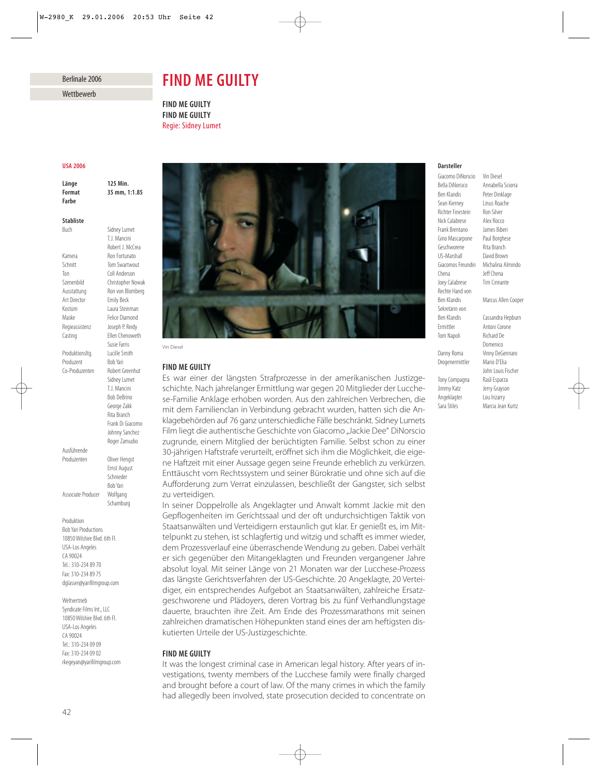## Berlinale 2006

Wettbewerb

# *FIND ME GUILTY*

*FIND ME GUILTY FIND ME GUILTY* Regie: Sidney Lumet

#### *USA 2006*

*Länge 125 Min. Format 35 mm, 1:1.85 Farbe*

Buch Sidney Lumet

T.J. Mancini Robert J. McCrea

**Tom Swartwout** 

Susie Farris

Sidney Lumet T.J. Mancini Bob DeBrino George Zakk Rita Branch Frank Di Giacomo Johnny Sanchez Roger Zamudio

Ernst August Schnieder Bob Yari

Schamburg

## *Stabliste*

Kamera Ron Fortunato<br>
Schnitt Tom Swartwo Ton Coll Anderson Szenenbild Christopher Nowak Ausstattung Ron von Blomberg Art Director Emily Beck Kostüm Laura Steinman Maske Felice Diamond Regieassistenz Joseph P. Reidy Casting Ellen Chenoweth Produktionsltg. Lucille Smith Produzent Bob Yari Co-Produzenten Robert Greenhut Ausführende

Associate Producer Wolfgang

Produzenten Oliver Hengst

Produktion Bob Yari Productions 10850 Wilshire Blvd. 6th Fl. USA-Los Angeles CA 90024 Tel.: 310-234 89 70 Fax: 310-234 89 75 dglasser@yarifilmgroup.com

Weltvertrieb Syndicate Films Int., LLC 10850 Wilshire Blvd. 6th Fl. USA-Los Angeles CA 90024 Tel.: 310-234 09 09 Fax: 310-234 09 02 rkegeyan@yarifilmgroup.com



Vin Diesel

### *FIND ME GUILTY*

Es war einer der längsten Strafprozesse in der amerikanischen Justizgeschichte. Nach jahrelanger Ermittlung war gegen 20 Mitglieder der Lucchese-Familie Anklage erhoben worden. Aus den zahlreichen Verbrechen, die mit dem Familienclan in Verbindung gebracht wurden, hatten sich die Anklagebehörden auf 76 ganz unterschiedliche Fälle beschränkt. Sidney Lumets Film liegt die authentische Geschichte von Giacomo "Jackie Dee" DiNorscio zugrunde, einem Mitglied der berüchtigten Familie. Selbst schon zu einer 30-jährigen Haftstrafe verurteilt, eröffnet sich ihm die Möglichkeit, die eigene Haftzeit mit einer Aussage gegen seine Freunde erheblich zu verkürzen. Enttäuscht vom Rechtssystem und seiner Bürokratie und ohne sich auf die Aufforderung zum Verrat einzulassen, beschließt der Gangster, sich selbst zu verteidigen.

In seiner Doppelrolle als Angeklagter und Anwalt kommt Jackie mit den Gepflogenheiten im Gerichtssaal und der oft undurchsichtigen Taktik von Staatsanwälten und Verteidigern erstaunlich gut klar. Er genießt es, im Mittelpunkt zu stehen, ist schlagfertig und witzig und schafft es immer wieder, dem Prozessverlauf eine überraschende Wendung zu geben. Dabei verhält er sich gegenüber den Mitangeklagten und Freunden vergangener Jahre absolut loyal. Mit seiner Länge von 21 Monaten war der Lucchese-Prozess das längste Gerichtsverfahren der US-Geschichte. 20 Angeklagte, 20 Verteidiger, ein entsprechendes Aufgebot an Staatsanwälten, zahlreiche Ersatzgeschworene und Plädoyers, deren Vortrag bis zu fünf Verhandlungstage dauerte, brauchten ihre Zeit. Am Ende des Prozessmarathons mit seinen zahlreichen dramatischen Höhepunkten stand eines der am heftigsten diskutierten Urteile der US-Justizgeschichte.

## *FIND ME GUILTY*

It was the longest criminal case in American legal history. After years of investigations, twenty members of the Lucchese family were finally charged and brought before a court of law. Of the many crimes in which the family had allegedly been involved, state prosecution decided to concentrate on

#### *Darsteller*

Giacomo DiNorscio Vin Diesel<br>Bella DiNorsico Annabella Ben Klandis Peter Dinklage Sean Kierney Linus Roache Richter Finestein Ron Silver<br>Nick Calabrese Alex Rocco Nick Calabrese Frank Brentano James Biberi Gino Mascarpone Paul Borghese Geschworene Rita Branch US-Marshall David Brown Chena Jeff Chena Joey Calabrese Tim Cinnante Rechte Hand von<br>Ben Klandis Sekretärin von Ben Klandis Cassandra Hepburn Ermittler Antoni Corone Tom Napoli Richard De Danny Roma Vinny DeGennaro

Annabella Sciorra Giacomos Freundin Michalina Almindo **Marcus Allen Cooper** 

Domenico Drogenermittler Mario D'Elia John Louis Fischer Tony Compagna Raúl Esparza Jimmy Katz Jerry Grayson Angeklagter Lou Irizarry Sara Stiles Marcia Jean Kurtz